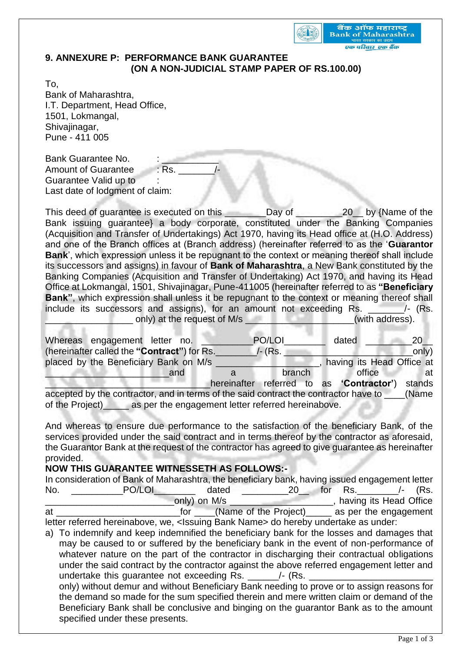

## **9. ANNEXURE P: PERFORMANCE BANK GUARANTEE (ON A NON-JUDICIAL STAMP PAPER OF RS.100.00)**

To, Bank of Maharashtra, I.T. Department, Head Office, 1501, Lokmangal, Shivajinagar, Pune - 411 005

Bank Guarantee No. Amount of Guarantee : Rs. Guarantee Valid up to : Last date of lodgment of claim:

This deed of guarantee is executed on this \_\_\_\_\_\_\_\_Day of \_\_\_\_\_\_\_\_\_20\_\_ by {Name of the Bank issuing guarantee} a body corporate, constituted under the Banking Companies (Acquisition and Transfer of Undertakings) Act 1970, having its Head office at (H.O. Address) and one of the Branch offices at (Branch address) (hereinafter referred to as the '**Guarantor Bank**', which expression unless it be repugnant to the context or meaning thereof shall include its successors and assigns) in favour of **Bank of Maharashtra**, a New Bank constituted by the Banking Companies (Acquisition and Transfer of Undertaking) Act 1970, and having its Head Office at Lokmangal, 1501, Shivajinagar, Pune-411005 (hereinafter referred to as **"Beneficiary Bank"**, which expression shall unless it be repugnant to the context or meaning thereof shall include its successors and assigns), for an amount not exceeding Rs. \_\_\_\_\_\_\_\_\_/- (Rs. only) at the request of M/s \_\_\_\_\_\_\_\_\_\_\_\_\_\_\_\_\_\_\_\_\_\_(with address).

| Whereas engagement letter no.                                                        |                                                    |   | PO/LOI  |  |  | dated                                    | 20     |
|--------------------------------------------------------------------------------------|----------------------------------------------------|---|---------|--|--|------------------------------------------|--------|
|                                                                                      | (hereinafter called the "Contract") for Rs.        |   | /- (Rs. |  |  |                                          | only)  |
|                                                                                      | placed by the Beneficiary Bank on M/s              |   |         |  |  | having its Head Office at                |        |
|                                                                                      | and                                                | a | branch  |  |  | office                                   | at a   |
|                                                                                      |                                                    |   |         |  |  | hereinafter referred to as 'Contractor') | stands |
| accepted by the contractor, and in terms of the said contract the contractor have to |                                                    |   |         |  |  |                                          | (Name) |
| of the Project)                                                                      | as per the engagement letter referred hereinabove. |   |         |  |  |                                          |        |

And whereas to ensure due performance to the satisfaction of the beneficiary Bank, of the services provided under the said contract and in terms thereof by the contractor as aforesaid, the Guarantor Bank at the request of the contractor has agreed to give guarantee as hereinafter provided.

## **NOW THIS GUARANTEE WITNESSETH AS FOLLOWS:-**

|     | In consideration of Bank of Maharashtra, the beneficiary bank, having issued engagement letter |  |
|-----|------------------------------------------------------------------------------------------------|--|
| No. | PO/LOI<br>dated<br>for Rs.<br>/- (Rs.<br><b>20</b>                                             |  |
|     | having its Head Office<br>only) on M/s                                                         |  |
| at  | (Name of the Project)<br>as per the engagement<br>tor                                          |  |
|     | letter referred hereinabove, we, < Issuing Bank Name > do hereby undertake as under:           |  |

a) To indemnify and keep indemnified the beneficiary bank for the losses and damages that may be caused to or suffered by the beneficiary bank in the event of non-performance of whatever nature on the part of the contractor in discharging their contractual obligations under the said contract by the contractor against the above referred engagement letter and undertake this quarantee not exceeding  $Rs.$   $\qquad$  /- (Rs. only) without demur and without Beneficiary Bank needing to prove or to assign reasons for the demand so made for the sum specified therein and mere written claim or demand of the Beneficiary Bank shall be conclusive and binging on the guarantor Bank as to the amount specified under these presents.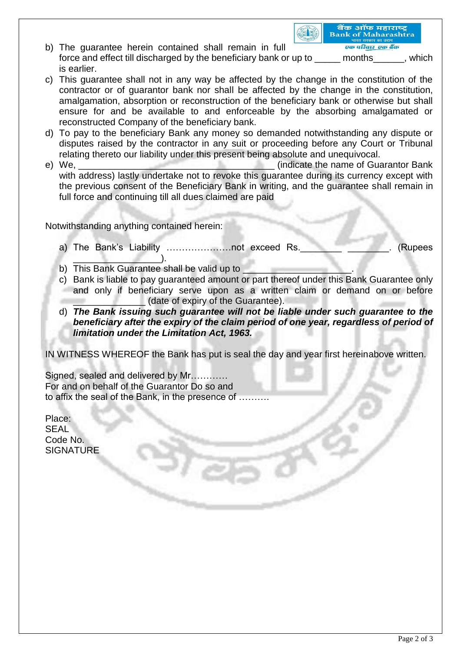b) The guarantee herein contained shall remain in full एक परिवार एक बैंक force and effect till discharged by the beneficiary bank or up to months example the which is earlier.

बैंक ऑफ महाराष्ट्र

**Bank of Maharashtra** 

GID

- c) This guarantee shall not in any way be affected by the change in the constitution of the contractor or of guarantor bank nor shall be affected by the change in the constitution, amalgamation, absorption or reconstruction of the beneficiary bank or otherwise but shall ensure for and be available to and enforceable by the absorbing amalgamated or reconstructed Company of the beneficiary bank.
- d) To pay to the beneficiary Bank any money so demanded notwithstanding any dispute or disputes raised by the contractor in any suit or proceeding before any Court or Tribunal relating thereto our liability under this present being absolute and unequivocal.
- e) We, \_\_\_\_\_\_\_\_\_\_\_\_\_\_\_\_\_\_\_\_\_\_\_\_\_\_\_\_\_\_\_\_\_\_\_\_\_\_ (indicate the name of Guarantor Bank with address) lastly undertake not to revoke this quarantee during its currency except with the previous consent of the Beneficiary Bank in writing, and the guarantee shall remain in full force and continuing till all dues claimed are paid

Notwithstanding anything contained herein:

- a) The Bank's Liability ……………………not exceed Rs. \_\_\_\_\_\_\_\_\_\_\_\_\_\_\_\_\_\_\_\_\_\_\_\_\_\_\_\_\_\_\_\_\_\_  $\overline{\phantom{a}}$
- b) This Bank Guarantee shall be valid up to
- c) Bank is liable to pay guaranteed amount or part thereof under this Bank Guarantee only and only if beneficiary serve upon as a written claim or demand on or before (date of expiry of the Guarantee).
- d) *The Bank issuing such guarantee will not be liable under such guarantee to the beneficiary after the expiry of the claim period of one year, regardless of period of limitation under the Limitation Act, 1963.*

IN WITNESS WHEREOF the Bank has put is seal the day and year first hereinabove written.

Signed, sealed and delivered by Mr………… For and on behalf of the Guarantor Do so and to affix the seal of the Bank, in the presence of ……….

Place: **SEAL** Code No. **SIGNATURE**